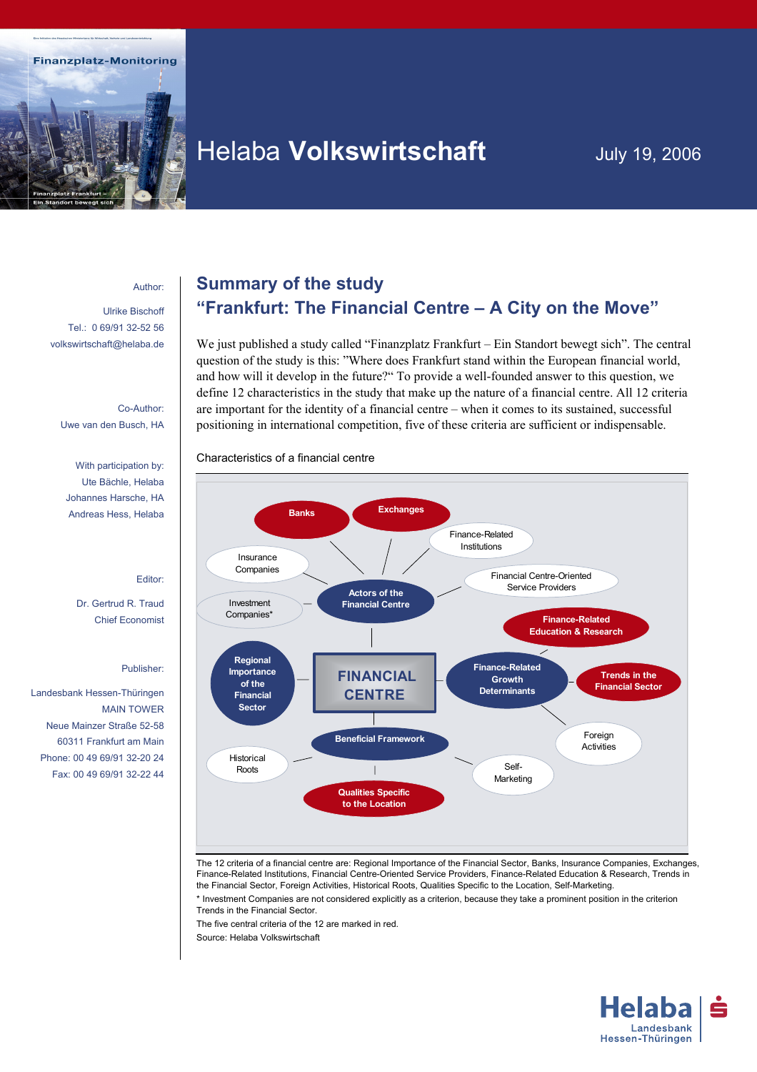

# Helaba **Volkswirtschaft** July 19, 2006

### Author:

Ulrike Bischoff Tel.: 0 69/91 32-52 56 volkswirtschaft@helaba.de

Co-Author: Uwe van den Busch, HA

With participation by: Ute Bächle, Helaba Johannes Harsche, HA Andreas Hess, Helaba

### Editor:

Dr. Gertrud R. Traud Chief Economist

#### Publisher:

Landesbank Hessen-Thüringen MAIN TOWER Neue Mainzer Straße 52-58 60311 Frankfurt am Main Phone: 00 49 69/91 32-20 24 Fax: 00 49 69/91 32-22 44

## **Summary of the study "Frankfurt: The Financial Centre – A City on the Move"**

We just published a study called "Finanzplatz Frankfurt – Ein Standort bewegt sich". The central question of the study is this: "Where does Frankfurt stand within the European financial world, and how will it develop in the future?" To provide a well-founded answer to this question, we define 12 characteristics in the study that make up the nature of a financial centre. All 12 criteria are important for the identity of a financial centre – when it comes to its sustained, successful positioning in international competition, five of these criteria are sufficient or indispensable.



The 12 criteria of a financial centre are: Regional Importance of the Financial Sector, Banks, Insurance Companies, Exchanges, Finance-Related Institutions, Financial Centre-Oriented Service Providers, Finance-Related Education & Research, Trends in the Financial Sector, Foreign Activities, Historical Roots, Qualities Specific to the Location, Self-Marketing.

\* Investment Companies are not considered explicitly as a criterion, because they take a prominent position in the criterion Trends in the Financial Sector.

The five central criteria of the 12 are marked in red.

Source: Helaba Volkswirtschaft

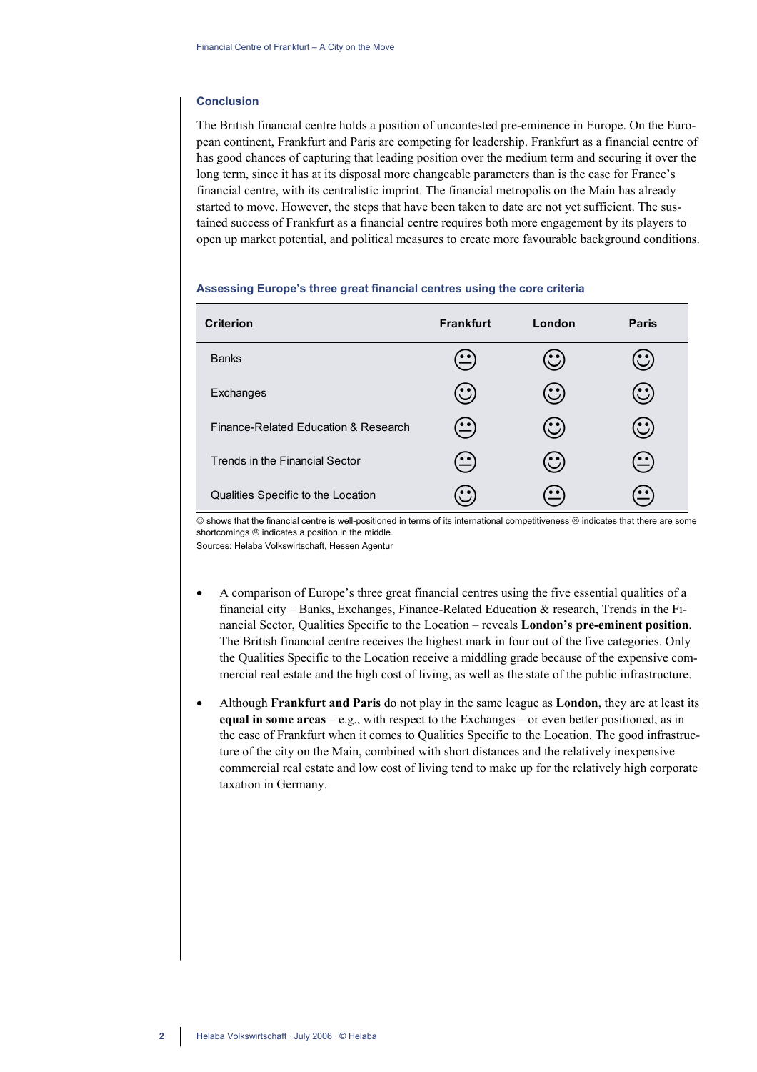### **Conclusion**

The British financial centre holds a position of uncontested pre-eminence in Europe. On the European continent, Frankfurt and Paris are competing for leadership. Frankfurt as a financial centre of has good chances of capturing that leading position over the medium term and securing it over the long term, since it has at its disposal more changeable parameters than is the case for France's financial centre, with its centralistic imprint. The financial metropolis on the Main has already started to move. However, the steps that have been taken to date are not yet sufficient. The sustained success of Frankfurt as a financial centre requires both more engagement by its players to open up market potential, and political measures to create more favourable background conditions.

| <b>Criterion</b>                     | <b>Frankfurt</b>                                           | London                                                           | <b>Paris</b>                               |
|--------------------------------------|------------------------------------------------------------|------------------------------------------------------------------|--------------------------------------------|
| <b>Banks</b>                         | $\left( \frac{}{\cdot} \right)$                            | $\left(\begin{array}{c} \bullet & \bullet \end{array}\right)$    |                                            |
| Exchanges                            | $\left( \bullet \right)$                                   | $\mathbf{C})$                                                    | $\cdot$ :                                  |
| Finance-Related Education & Research | $\left( \begin{matrix} \cdot \ \cdot \end{matrix} \right)$ | $\left(\cdot\right)$                                             | $\binom{1}{2}$                             |
| Trends in the Financial Sector       | $\left( \frac{}{.}\right)$                                 | $\left(\cdot\right)$                                             | $\left( \frac{\cdot \cdot}{\cdot} \right)$ |
| Qualities Specific to the Location   |                                                            | $\left( \begin{array}{c} \bullet \\ \bullet \end{array} \right)$ | $\bullet$ $\bullet$                        |

### **Assessing Europe's three great financial centres using the core criteria**

© shows that the financial centre is well-positioned in terms of its international competitiveness <sup>®</sup> indicates that there are some shortcomings  $\oplus$  indicates a position in the middle.

Sources: Helaba Volkswirtschaft, Hessen Agentur

- A comparison of Europe's three great financial centres using the five essential qualities of a financial city – Banks, Exchanges, Finance-Related Education  $\&$  research, Trends in the Financial Sector, Qualities Specific to the Location – reveals **London's pre-eminent position**. The British financial centre receives the highest mark in four out of the five categories. Only the Qualities Specific to the Location receive a middling grade because of the expensive commercial real estate and the high cost of living, as well as the state of the public infrastructure.
- Although **Frankfurt and Paris** do not play in the same league as **London**, they are at least its **equal in some areas** – e.g., with respect to the Exchanges – or even better positioned, as in the case of Frankfurt when it comes to Qualities Specific to the Location. The good infrastructure of the city on the Main, combined with short distances and the relatively inexpensive commercial real estate and low cost of living tend to make up for the relatively high corporate taxation in Germany.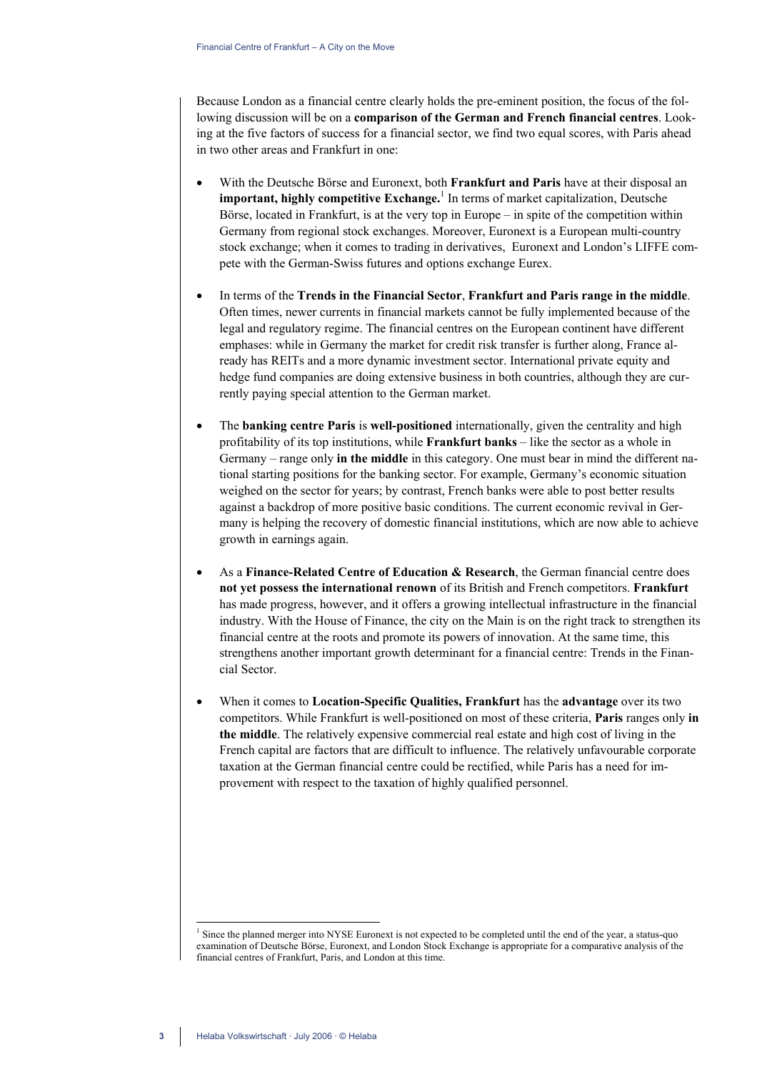Because London as a financial centre clearly holds the pre-eminent position, the focus of the following discussion will be on a **comparison of the German and French financial centres**. Looking at the five factors of success for a financial sector, we find two equal scores, with Paris ahead in two other areas and Frankfurt in one:

- With the Deutsche Börse and Euronext, both **Frankfurt and Paris** have at their disposal an **important, highly competitive Exchange.**<sup>1</sup>  [I](#page-2-0)n terms of market capitalization, Deutsche Börse, located in Frankfurt, is at the very top in Europe – in spite of the competition within Germany from regional stock exchanges. Moreover, Euronext is a European multi-country stock exchange; when it comes to trading in derivatives, Euronext and London's LIFFE compete with the German-Swiss futures and options exchange Eurex.
- In terms of the **Trends in the Financial Sector**, **Frankfurt and Paris range in the middle**. Often times, newer currents in financial markets cannot be fully implemented because of the legal and regulatory regime. The financial centres on the European continent have different emphases: while in Germany the market for credit risk transfer is further along, France already has REITs and a more dynamic investment sector. International private equity and hedge fund companies are doing extensive business in both countries, although they are currently paying special attention to the German market.
- The **banking centre Paris** is **well-positioned** internationally, given the centrality and high profitability of its top institutions, while **Frankfurt banks** – like the sector as a whole in Germany – range only **in the middle** in this category. One must bear in mind the different national starting positions for the banking sector. For example, Germany's economic situation weighed on the sector for years; by contrast, French banks were able to post better results against a backdrop of more positive basic conditions. The current economic revival in Germany is helping the recovery of domestic financial institutions, which are now able to achieve growth in earnings again.
- As a **Finance-Related Centre of Education & Research**, the German financial centre does **not yet possess the international renown** of its British and French competitors. **Frankfurt** has made progress, however, and it offers a growing intellectual infrastructure in the financial industry. With the House of Finance, the city on the Main is on the right track to strengthen its financial centre at the roots and promote its powers of innovation. At the same time, this strengthens another important growth determinant for a financial centre: Trends in the Financial Sector.
- When it comes to **Location-Specific Qualities, Frankfurt** has the **advantage** over its two competitors. While Frankfurt is well-positioned on most of these criteria, **Paris** ranges only **in the middle**. The relatively expensive commercial real estate and high cost of living in the French capital are factors that are difficult to influence. The relatively unfavourable corporate taxation at the German financial centre could be rectified, while Paris has a need for improvement with respect to the taxation of highly qualified personnel.

 $\overline{\phantom{a}}$ 

<span id="page-2-0"></span><sup>&</sup>lt;sup>1</sup> Since the planned merger into NYSE Euronext is not expected to be completed until the end of the year, a status-quo examination of Deutsche Börse, Euronext, and London Stock Exchange is appropriate for a comparative analysis of the financial centres of Frankfurt, Paris, and London at this time.